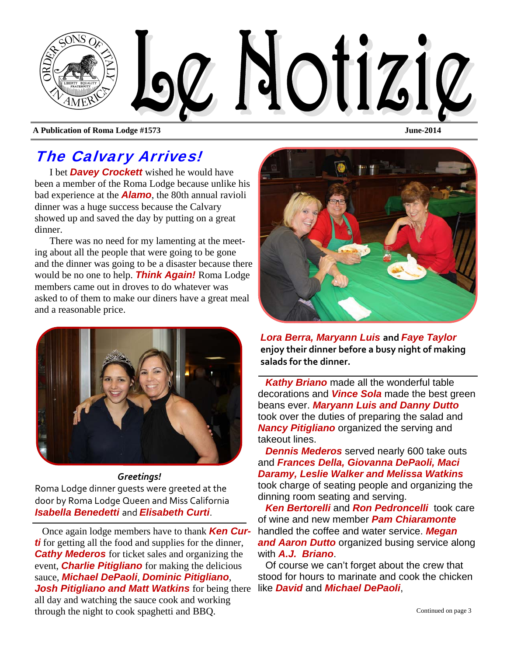

**A Publication of Roma Lodge #1573 June-2014** 

## The Calvary Arrives!

I bet *Davey Crockett* wished he would have been a member of the Roma Lodge because unlike his bad experience at the *Alamo*, the 80th annual ravioli dinner was a huge success because the Calvary showed up and saved the day by putting on a great dinner.

There was no need for my lamenting at the meeting about all the people that were going to be gone and the dinner was going to be a disaster because there would be no one to help. *Think Again!* Roma Lodge members came out in droves to do whatever was asked to of them to make our diners have a great meal and a reasonable price.



#### *Greetings!*

Roma Lodge dinner guests were greeted at the door by Roma Lodge Queen and Miss California *Isabella Benedetti* and *Elisabeth Curti*.

Once again lodge members have to thank *Ken Curti* for getting all the food and supplies for the dinner, *Cathy Mederos* for ticket sales and organizing the event, *Charlie Pitigliano* for making the delicious sauce, *Michael DePaoli*, *Dominic Pitigliano*, *Josh Pitigliano and Matt Watkins* for being there like *David* and *Michael DePaoli*, all day and watching the sauce cook and working through the night to cook spaghetti and BBQ.

*Lora Berra, Maryann Luis* **and** *Faye Taylor*  **enjoy their dinner before a busy night of making salads for the dinner.** 

*Kathy Briano* made all the wonderful table decorations and *Vince Sola* made the best green beans ever. *Maryann Luis and Danny Dutto*  took over the duties of preparing the salad and *Nancy Pitigliano* organized the serving and takeout lines.

*Dennis Mederos* served nearly 600 take outs and *Frances Della, Giovanna DePaoli, Maci Daramy, Leslie Walker and Melissa Watkins*  took charge of seating people and organizing the dinning room seating and serving.

*Ken Bertorelli* and *Ron Pedroncelli* took care of wine and new member *Pam Chiaramonte*  handled the coffee and water service. *Megan and Aaron Dutto* organized busing service along with *A.J. Briano*.

Of course we can't forget about the crew that stood for hours to marinate and cook the chicken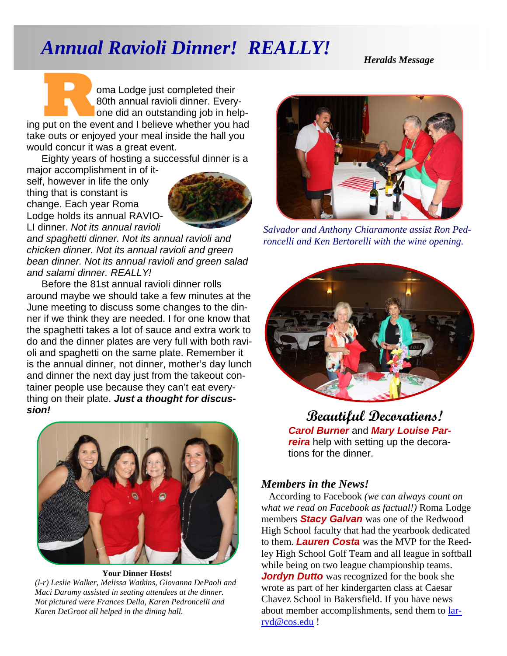# *Annual Ravioli Dinner! REALLY!*

*Heralds Message* 

**R EXECUTE 1999 SIGN COMPLETED SURFERING WATER AND THE SURFERING POST OF A PARTICIPY SIGNAL PROPERTY.**<br>
Ing put on the event and I believe whether you had 80th annual ravioli dinner. Everyone did an outstanding job in helptake outs or enjoyed your meal inside the hall you would concur it was a great event.

Eighty years of hosting a successful dinner is a major accomplishment in of it-

self, however in life the only thing that is constant is change. Each year Roma Lodge holds its annual RAVIO-LI dinner. *Not its annual ravioli* 



*and spaghetti dinner. Not its annual ravioli and chicken dinner. Not its annual ravioli and green bean dinner. Not its annual ravioli and green salad and salami dinner. REALLY!* 

Before the 81st annual ravioli dinner rolls around maybe we should take a few minutes at the June meeting to discuss some changes to the dinner if we think they are needed. I for one know that the spaghetti takes a lot of sauce and extra work to do and the dinner plates are very full with both ravioli and spaghetti on the same plate. Remember it is the annual dinner, not dinner, mother's day lunch and dinner the next day just from the takeout container people use because they can't eat everything on their plate. *Just a thought for discussion!* 



**Your Dinner Hosts!**  *(l-r) Leslie Walker, Melissa Watkins, Giovanna DePaoli and Maci Daramy assisted in seating attendees at the dinner. Not pictured were Frances Della, Karen Pedroncelli and Karen DeGroot all helped in the dining hall.* 



*Salvador and Anthony Chiaramonte assist Ron Pedroncelli and Ken Bertorelli with the wine opening.* 



**Beautiful Decorations!**  *Carol Burner* and *Mary Louise Parreira* help with setting up the decorations for the dinner.

#### *Members in the News!*

According to Facebook *(we can always count on what we read on Facebook as factual!)* Roma Lodge members *Stacy Galvan* was one of the Redwood High School faculty that had the yearbook dedicated to them. *Lauren Costa* was the MVP for the Reedley High School Golf Team and all league in softball while being on two league championship teams. *Jordyn Dutto* was recognized for the book she wrote as part of her kindergarten class at Caesar Chavez School in Bakersfield. If you have news about member accomplishments, send them to larryd@cos.edu !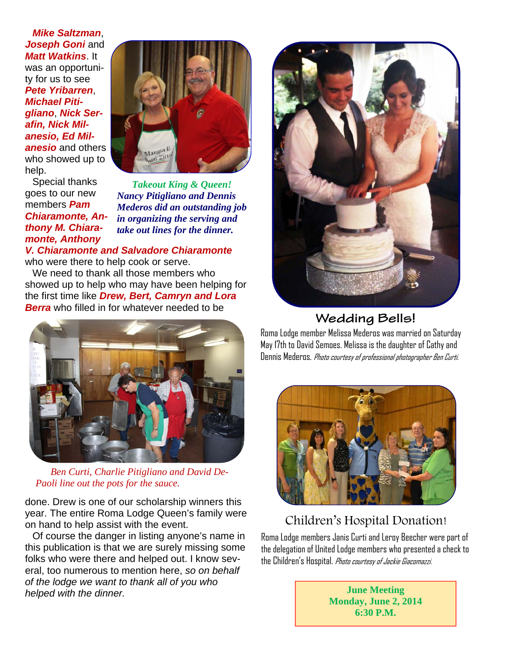*Mike Saltzman*, **Joseph Goni** and *Matt Watkins*. It was an opportunity for us to see *Pete Yribarren*, *Michael Pitigliano*, *Nick Serafin, Nick Milanesio, Ed Milanesio* and others who showed up to help.



Special thanks goes to our new members *Pam Chiaramonte, Anthony M. Chiaramonte, Anthony* 

*Takeout King & Queen! Nancy Pitigliano and Dennis Mederos did an outstanding job in organizing the serving and take out lines for the dinner.* 

#### *V. Chiaramonte and Salvadore Chiaramonte* who were there to help cook or serve.

We need to thank all those members who showed up to help who may have been helping for the first time like *Drew, Bert, Camryn and Lora Berra* who filled in for whatever needed to be



*Ben Curti, Charlie Pitigliano and David De-Paoli line out the pots for the sauce.* 

done. Drew is one of our scholarship winners this year. The entire Roma Lodge Queen's family were on hand to help assist with the event.

Of course the danger in listing anyone's name in this publication is that we are surely missing some folks who were there and helped out. I know several, too numerous to mention here, *so on behalf of the lodge we want to thank all of you who helped with the dinner.* 



#### **Wedding Bells!**

Roma Lodge member Melissa Mederos was married on Saturday May 17th to David Semoes. Melissa is the daughter of Cathy and Dennis Mederos. Photo courtesy of professional photographer Ben Curti.



#### Children's Hospital Donation!

Roma Lodge members Janis Curti and Leroy Beecher were part of the delegation of United Lodge members who presented a check to the Children's Hospital. Photo courtesy of Jackie Giacomazzi.

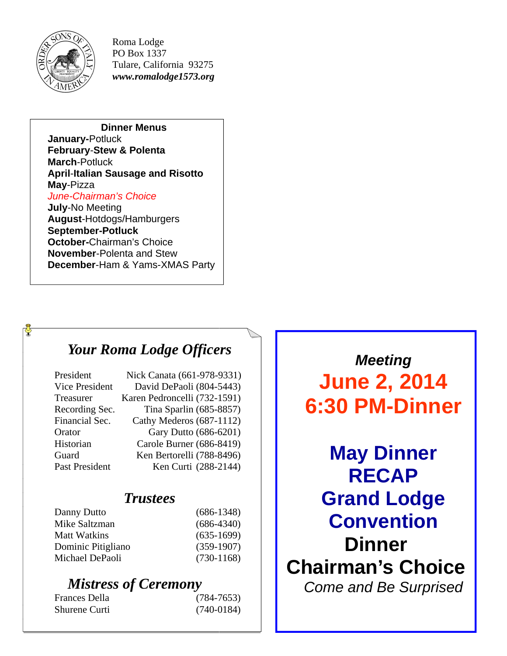

Roma Lodge PO Box 1337 Tulare, California 93275 *www.romalodge1573.org* 

**Dinner Menus January-**Potluck **February**-**Stew & Polenta March**-Potluck **April**-**Italian Sausage and Risotto May**-Pizza *June-Chairman's Choice*  **July**-No Meeting **August**-Hotdogs/Hamburgers **September-Potluck October-**Chairman's Choice **November**-Polenta and Stew **December**-Ham & Yams-XMAS Party

## *Your Roma Lodge Officers*

| President             | Nick Canata (661-978-9331)   |
|-----------------------|------------------------------|
| <b>Vice President</b> | David DePaoli (804-5443)     |
| Treasurer             | Karen Pedroncelli (732-1591) |
| Recording Sec.        | Tina Sparlin (685-8857)      |
| Financial Sec.        | Cathy Mederos (687-1112)     |
| Orator                | Gary Dutto (686-6201)        |
| Historian             | Carole Burner (686-8419)     |
| Guard                 | Ken Bertorelli (788-8496)    |
| Past President        | Ken Curti (288-2144)         |

#### *Trustees*

| Danny Dutto         | $(686-1348)$ |
|---------------------|--------------|
| Mike Saltzman       | $(686-4340)$ |
| <b>Matt Watkins</b> | $(635-1699)$ |
| Dominic Pitigliano  | $(359-1907)$ |
| Michael DePaoli     | $(730-1168)$ |
|                     |              |

## *Mistress of Ceremony*

| Frances Della | $(784 - 7653)$ |
|---------------|----------------|
| Shurene Curti | $(740-0184)$   |

*Meeting*  **June 2, 2014 6:30 PM-Dinner** 

**May Dinner RECAP Grand Lodge Convention Dinner Chairman's Choice**  *Come and Be Surprised*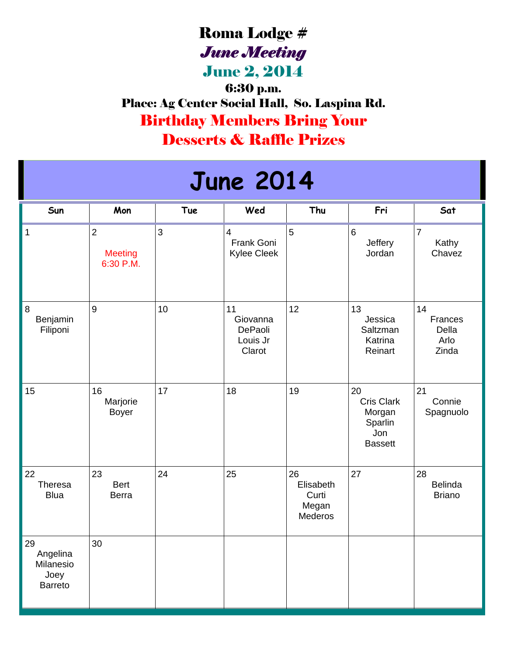# Roma Lodge # *June Meeting*

June 2, 2014

6:30 p.m. Place: Ag Center Social Hall, So. Laspina Rd. Birthday Members Bring Your Desserts & Raffle Prizes

# **June 2014**

| Sun                                                   | Mon                                           | <b>Tue</b> | Wed                                             | Thu                                          | Fri                                                                   | Sat                                     |
|-------------------------------------------------------|-----------------------------------------------|------------|-------------------------------------------------|----------------------------------------------|-----------------------------------------------------------------------|-----------------------------------------|
| $\mathbf 1$                                           | $\overline{2}$<br><b>Meeting</b><br>6:30 P.M. | 3          | $\overline{4}$<br>Frank Goni<br>Kylee Cleek     | 5                                            | 6<br>Jeffery<br>Jordan                                                | $\overline{7}$<br>Kathy<br>Chavez       |
| $\,8\,$<br>Benjamin<br>Filiponi                       | $9\,$                                         | 10         | 11<br>Giovanna<br>DePaoli<br>Louis Jr<br>Clarot | 12                                           | 13<br>Jessica<br>Saltzman<br>Katrina<br>Reinart                       | 14<br>Frances<br>Della<br>Arlo<br>Zinda |
| 15                                                    | 16<br>Marjorie<br><b>Boyer</b>                | 17         | 18                                              | 19                                           | 20<br><b>Cris Clark</b><br>Morgan<br>Sparlin<br>Jon<br><b>Bassett</b> | 21<br>Connie<br>Spagnuolo               |
| 22<br>Theresa<br><b>Blua</b>                          | 23<br><b>Bert</b><br><b>Berra</b>             | 24         | 25                                              | 26<br>Elisabeth<br>Curti<br>Megan<br>Mederos | 27                                                                    | 28<br>Belinda<br><b>Briano</b>          |
| 29<br>Angelina<br>Milanesio<br>Joey<br><b>Barreto</b> | 30                                            |            |                                                 |                                              |                                                                       |                                         |